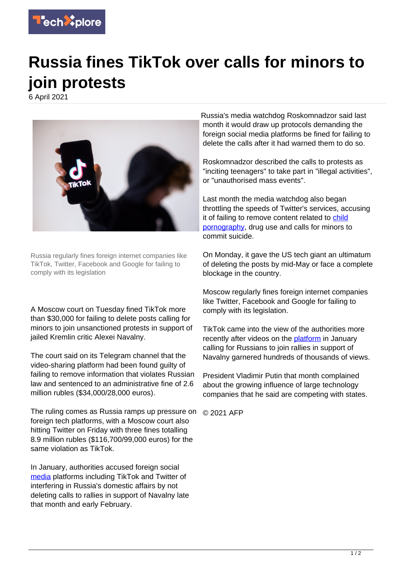

## **Russia fines TikTok over calls for minors to join protests**

6 April 2021



Russia regularly fines foreign internet companies like TikTok, Twitter, Facebook and Google for failing to comply with its legislation

A Moscow court on Tuesday fined TikTok more than \$30,000 for failing to delete posts calling for minors to join unsanctioned protests in support of jailed Kremlin critic Alexei Navalny.

The court said on its Telegram channel that the video-sharing platform had been found guilty of failing to remove information that violates Russian law and sentenced to an administrative fine of 2.6 million rubles (\$34,000/28,000 euros).

The ruling comes as Russia ramps up pressure on © 2021 AFP foreign tech platforms, with a Moscow court also hitting Twitter on Friday with three fines totalling 8.9 million rubles (\$116,700/99,000 euros) for the same violation as TikTok.

In January, authorities accused foreign social [media](https://techxplore.com/tags/media/) platforms including TikTok and Twitter of interfering in Russia's domestic affairs by not deleting calls to rallies in support of Navalny late that month and early February.

Russia's media watchdog Roskomnadzor said last month it would draw up protocols demanding the foreign social media platforms be fined for failing to delete the calls after it had warned them to do so.

Roskomnadzor described the calls to protests as "inciting teenagers" to take part in "illegal activities", or "unauthorised mass events".

Last month the media watchdog also began throttling the speeds of Twitter's services, accusing it of failing to remove content related to [child](https://techxplore.com/tags/child+pornography/) [pornography](https://techxplore.com/tags/child+pornography/), drug use and calls for minors to commit suicide.

On Monday, it gave the US tech giant an ultimatum of deleting the posts by mid-May or face a complete blockage in the country.

Moscow regularly fines foreign internet companies like Twitter, Facebook and Google for failing to comply with its legislation.

TikTok came into the view of the authorities more recently after videos on the [platform](https://techxplore.com/tags/platform/) in January calling for Russians to join rallies in support of Navalny garnered hundreds of thousands of views.

President Vladimir Putin that month complained about the growing influence of large technology companies that he said are competing with states.